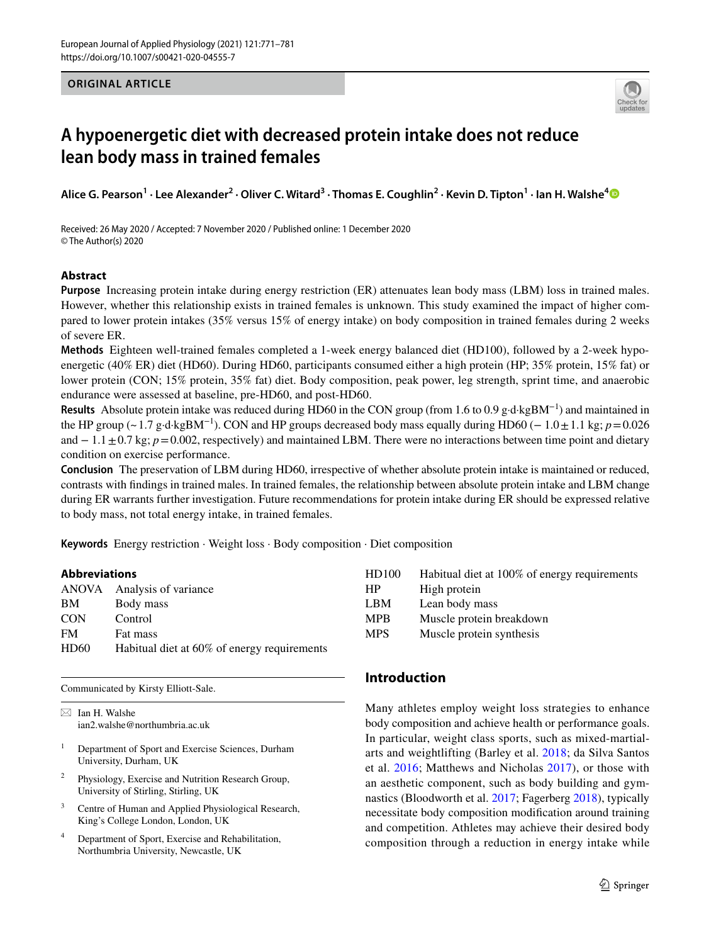# **ORIGINAL ARTICLE**



# **A hypoenergetic diet with decreased protein intake does not reduce lean body mass in trained females**

Alice G. Pearson<sup>1</sup> · Lee Alexander<sup>2</sup> · Oliver C. Witard<sup>3</sup> · Thomas E. Coughlin<sup>2</sup> · Kevin D. Tipton<sup>1</sup> · Ian H. Walshe<sup>[4](http://orcid.org/0000-0002-6001-7854)</sup>

Received: 26 May 2020 / Accepted: 7 November 2020 / Published online: 1 December 2020 © The Author(s) 2020

# **Abstract**

**Purpose** Increasing protein intake during energy restriction (ER) attenuates lean body mass (LBM) loss in trained males. However, whether this relationship exists in trained females is unknown. This study examined the impact of higher compared to lower protein intakes (35% versus 15% of energy intake) on body composition in trained females during 2 weeks of severe ER.

**Methods** Eighteen well-trained females completed a 1-week energy balanced diet (HD100), followed by a 2-week hypoenergetic (40% ER) diet (HD60). During HD60, participants consumed either a high protein (HP; 35% protein, 15% fat) or lower protein (CON; 15% protein, 35% fat) diet. Body composition, peak power, leg strength, sprint time, and anaerobic endurance were assessed at baseline, pre-HD60, and post-HD60.

**Results** Absolute protein intake was reduced during HD60 in the CON group (from 1.6 to 0.9 g·d·kgBM−1) and maintained in the HP group (~1.7 g·d·kgBM<sup>-1</sup>). CON and HP groups decreased body mass equally during HD60 (− 1.0  $\pm$ 1.1 kg; *p*=0.026 and − 1.1 ± 0.7 kg; *p* = 0.002, respectively) and maintained LBM. There were no interactions between time point and dietary condition on exercise performance.

**Conclusion** The preservation of LBM during HD60, irrespective of whether absolute protein intake is maintained or reduced, contrasts with fndings in trained males. In trained females, the relationship between absolute protein intake and LBM change during ER warrants further investigation. Future recommendations for protein intake during ER should be expressed relative to body mass, not total energy intake, in trained females.

**Keywords** Energy restriction · Weight loss · Body composition · Diet composition

# **Abbreviations**

| ANOVA Analysis of variance                  |
|---------------------------------------------|
| Body mass                                   |
| Control                                     |
| Fat mass                                    |
| Habitual diet at 60% of energy requirements |
|                                             |

Communicated by Kirsty Elliott-Sale.

 $\boxtimes$  Ian H. Walshe ian2.walshe@northumbria.ac.uk

- <sup>1</sup> Department of Sport and Exercise Sciences, Durham University, Durham, UK
- <sup>2</sup> Physiology, Exercise and Nutrition Research Group, University of Stirling, Stirling, UK
- <sup>3</sup> Centre of Human and Applied Physiological Research, King's College London, London, UK
- <sup>4</sup> Department of Sport, Exercise and Rehabilitation, Northumbria University, Newcastle, UK

| HD100      | Habitual diet at 100% of energy requirements |
|------------|----------------------------------------------|
| <b>HP</b>  | High protein                                 |
| <b>LBM</b> | Lean body mass                               |
| <b>MPB</b> | Muscle protein breakdown                     |
| <b>MPS</b> | Muscle protein synthesis                     |

# **Introduction**

Many athletes employ weight loss strategies to enhance body composition and achieve health or performance goals. In particular, weight class sports, such as mixed-martialarts and weightlifting (Barley et al. [2018;](#page-9-0) da Silva Santos et al. [2016;](#page-9-1) Matthews and Nicholas [2017](#page-10-0)), or those with an aesthetic component, such as body building and gymnastics (Bloodworth et al. [2017](#page-9-2); Fagerberg [2018\)](#page-9-3), typically necessitate body composition modifcation around training and competition. Athletes may achieve their desired body composition through a reduction in energy intake while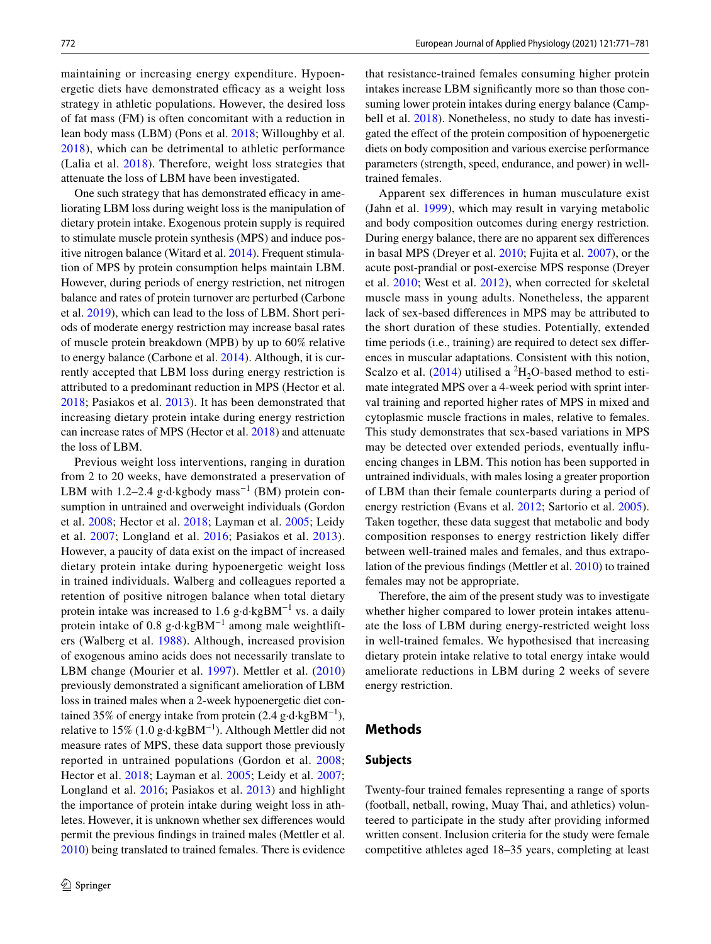maintaining or increasing energy expenditure. Hypoenergetic diets have demonstrated efficacy as a weight loss strategy in athletic populations. However, the desired loss of fat mass (FM) is often concomitant with a reduction in lean body mass (LBM) (Pons et al. [2018](#page-10-1); Willoughby et al. [2018\)](#page-10-2), which can be detrimental to athletic performance (Lalia et al. [2018](#page-9-4)). Therefore, weight loss strategies that attenuate the loss of LBM have been investigated.

One such strategy that has demonstrated efficacy in ameliorating LBM loss during weight loss is the manipulation of dietary protein intake. Exogenous protein supply is required to stimulate muscle protein synthesis (MPS) and induce positive nitrogen balance (Witard et al. [2014\)](#page-10-3). Frequent stimulation of MPS by protein consumption helps maintain LBM. However, during periods of energy restriction, net nitrogen balance and rates of protein turnover are perturbed (Carbone et al. [2019](#page-9-5)), which can lead to the loss of LBM. Short periods of moderate energy restriction may increase basal rates of muscle protein breakdown (MPB) by up to 60% relative to energy balance (Carbone et al. [2014](#page-9-6)). Although, it is currently accepted that LBM loss during energy restriction is attributed to a predominant reduction in MPS (Hector et al. [2018](#page-9-7); Pasiakos et al. [2013](#page-10-4)). It has been demonstrated that increasing dietary protein intake during energy restriction can increase rates of MPS (Hector et al. [2018\)](#page-9-7) and attenuate the loss of LBM.

Previous weight loss interventions, ranging in duration from 2 to 20 weeks, have demonstrated a preservation of LBM with 1.2–2.4 g⋅d⋅kgbody mass<sup>-1</sup> (BM) protein consumption in untrained and overweight individuals (Gordon et al. [2008;](#page-9-8) Hector et al. [2018](#page-9-7); Layman et al. [2005;](#page-9-9) Leidy et al. [2007](#page-9-10); Longland et al. [2016;](#page-10-5) Pasiakos et al. [2013](#page-10-4)). However, a paucity of data exist on the impact of increased dietary protein intake during hypoenergetic weight loss in trained individuals. Walberg and colleagues reported a retention of positive nitrogen balance when total dietary protein intake was increased to 1.6 g⋅d⋅kgBM<sup>-1</sup> vs. a daily protein intake of 0.8 g⋅d⋅kgBM<sup>-1</sup> among male weightlifters (Walberg et al. [1988\)](#page-10-6). Although, increased provision of exogenous amino acids does not necessarily translate to LBM change (Mourier et al. [1997](#page-10-7)). Mettler et al. [\(2010\)](#page-10-8) previously demonstrated a signifcant amelioration of LBM loss in trained males when a 2-week hypoenergetic diet contained 35% of energy intake from protein (2.4 g·d·kgBM−1), relative to 15% (1.0 g⋅d⋅kgBM<sup>-1</sup>). Although Mettler did not measure rates of MPS, these data support those previously reported in untrained populations (Gordon et al. [2008](#page-9-8); Hector et al. [2018](#page-9-7); Layman et al. [2005](#page-9-9); Leidy et al. [2007](#page-9-10); Longland et al. [2016;](#page-10-5) Pasiakos et al. [2013](#page-10-4)) and highlight the importance of protein intake during weight loss in athletes. However, it is unknown whether sex diferences would permit the previous fndings in trained males (Mettler et al. [2010](#page-10-8)) being translated to trained females. There is evidence that resistance-trained females consuming higher protein intakes increase LBM signifcantly more so than those consuming lower protein intakes during energy balance (Camp-bell et al. [2018](#page-9-11)). Nonetheless, no study to date has investigated the efect of the protein composition of hypoenergetic diets on body composition and various exercise performance parameters (strength, speed, endurance, and power) in welltrained females.

Apparent sex diferences in human musculature exist (Jahn et al. [1999](#page-9-12)), which may result in varying metabolic and body composition outcomes during energy restriction. During energy balance, there are no apparent sex diferences in basal MPS (Dreyer et al. [2010](#page-9-13); Fujita et al. [2007](#page-9-14)), or the acute post-prandial or post-exercise MPS response (Dreyer et al. [2010;](#page-9-13) West et al. [2012\)](#page-10-9), when corrected for skeletal muscle mass in young adults. Nonetheless, the apparent lack of sex-based diferences in MPS may be attributed to the short duration of these studies. Potentially, extended time periods (i.e., training) are required to detect sex diferences in muscular adaptations. Consistent with this notion, Scalzo et al.  $(2014)$  $(2014)$  utilised a <sup>2</sup>H<sub>2</sub>O-based method to estimate integrated MPS over a 4-week period with sprint interval training and reported higher rates of MPS in mixed and cytoplasmic muscle fractions in males, relative to females. This study demonstrates that sex-based variations in MPS may be detected over extended periods, eventually infuencing changes in LBM. This notion has been supported in untrained individuals, with males losing a greater proportion of LBM than their female counterparts during a period of energy restriction (Evans et al. [2012;](#page-9-15) Sartorio et al. [2005](#page-10-11)). Taken together, these data suggest that metabolic and body composition responses to energy restriction likely difer between well-trained males and females, and thus extrapolation of the previous fndings (Mettler et al. [2010](#page-10-8)) to trained females may not be appropriate.

Therefore, the aim of the present study was to investigate whether higher compared to lower protein intakes attenuate the loss of LBM during energy-restricted weight loss in well-trained females. We hypothesised that increasing dietary protein intake relative to total energy intake would ameliorate reductions in LBM during 2 weeks of severe energy restriction.

# **Methods**

# **Subjects**

Twenty-four trained females representing a range of sports (football, netball, rowing, Muay Thai, and athletics) volunteered to participate in the study after providing informed written consent. Inclusion criteria for the study were female competitive athletes aged 18–35 years, completing at least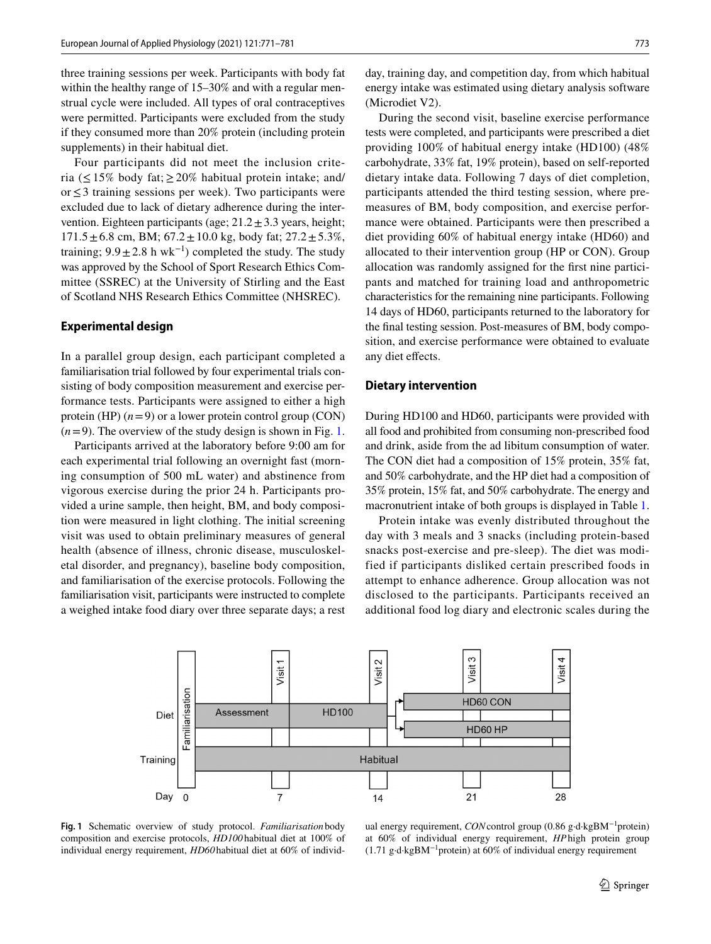three training sessions per week. Participants with body fat within the healthy range of 15–30% and with a regular menstrual cycle were included. All types of oral contraceptives were permitted. Participants were excluded from the study if they consumed more than 20% protein (including protein supplements) in their habitual diet.

Four participants did not meet the inclusion criteria ( $\leq$ 15% body fat; $\geq$ 20% habitual protein intake; and/ or≤3 training sessions per week). Two participants were excluded due to lack of dietary adherence during the intervention. Eighteen participants (age;  $21.2 \pm 3.3$  years, height;  $171.5 \pm 6.8$  cm, BM;  $67.2 \pm 10.0$  kg, body fat;  $27.2 \pm 5.3\%$ , training;  $9.9 \pm 2.8$  h wk<sup>-1</sup>) completed the study. The study was approved by the School of Sport Research Ethics Committee (SSREC) at the University of Stirling and the East of Scotland NHS Research Ethics Committee (NHSREC).

# **Experimental design**

In a parallel group design, each participant completed a familiarisation trial followed by four experimental trials consisting of body composition measurement and exercise performance tests. Participants were assigned to either a high protein (HP)  $(n=9)$  or a lower protein control group (CON)  $(n=9)$ . The overview of the study design is shown in Fig. [1.](#page-2-0)

Participants arrived at the laboratory before 9:00 am for each experimental trial following an overnight fast (morning consumption of 500 mL water) and abstinence from vigorous exercise during the prior 24 h. Participants provided a urine sample, then height, BM, and body composition were measured in light clothing. The initial screening visit was used to obtain preliminary measures of general health (absence of illness, chronic disease, musculoskeletal disorder, and pregnancy), baseline body composition, and familiarisation of the exercise protocols. Following the familiarisation visit, participants were instructed to complete a weighed intake food diary over three separate days; a rest day, training day, and competition day, from which habitual energy intake was estimated using dietary analysis software (Microdiet V2).

During the second visit, baseline exercise performance tests were completed, and participants were prescribed a diet providing 100% of habitual energy intake (HD100) (48% carbohydrate, 33% fat, 19% protein), based on self-reported dietary intake data. Following 7 days of diet completion, participants attended the third testing session, where premeasures of BM, body composition, and exercise performance were obtained. Participants were then prescribed a diet providing 60% of habitual energy intake (HD60) and allocated to their intervention group (HP or CON). Group allocation was randomly assigned for the frst nine participants and matched for training load and anthropometric characteristics for the remaining nine participants. Following 14 days of HD60, participants returned to the laboratory for the fnal testing session. Post-measures of BM, body composition, and exercise performance were obtained to evaluate any diet efects.

## **Dietary intervention**

During HD100 and HD60, participants were provided with all food and prohibited from consuming non-prescribed food and drink, aside from the ad libitum consumption of water. The CON diet had a composition of 15% protein, 35% fat, and 50% carbohydrate, and the HP diet had a composition of 35% protein, 15% fat, and 50% carbohydrate. The energy and macronutrient intake of both groups is displayed in Table [1.](#page-3-0)

Protein intake was evenly distributed throughout the day with 3 meals and 3 snacks (including protein-based snacks post-exercise and pre-sleep). The diet was modified if participants disliked certain prescribed foods in attempt to enhance adherence. Group allocation was not disclosed to the participants. Participants received an additional food log diary and electronic scales during the



<span id="page-2-0"></span>**Fig. 1** Schematic overview of study protocol. *Familiarisation* body composition and exercise protocols, *HD100* habitual diet at 100% of individual energy requirement, *HD60*habitual diet at 60% of individ-

ual energy requirement, *CON*control group (0.86 g·d·kgBM−1protein) at 60% of individual energy requirement, *HP*high protein group (1.71 g·d·kgBM<sup>-1</sup>protein) at 60% of individual energy requirement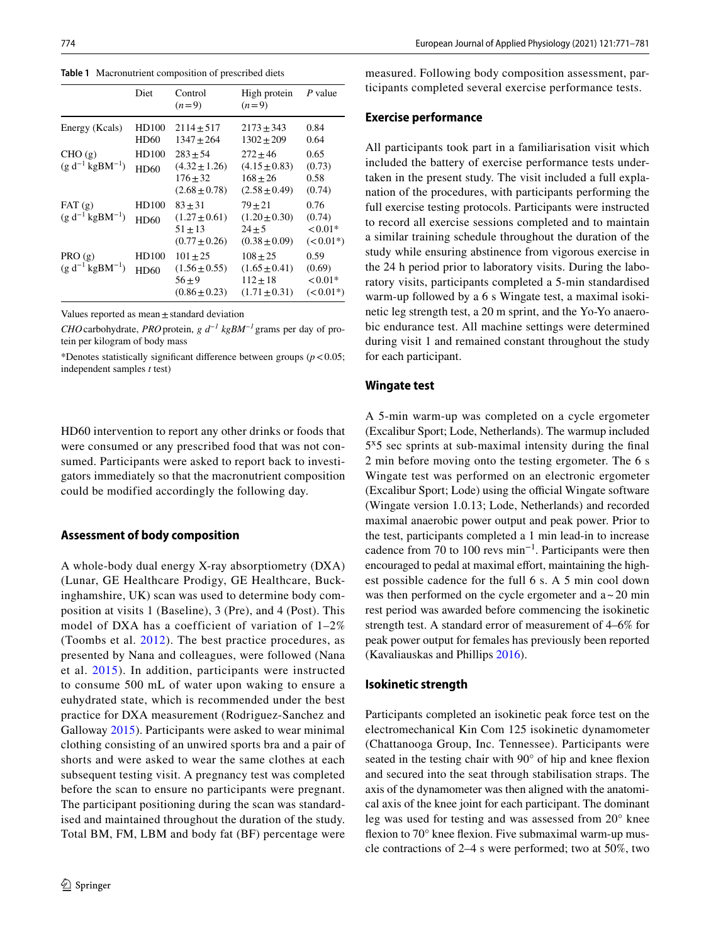<span id="page-3-0"></span>**Table 1** Macronutrient composition of prescribed diets

|                                  | Diet                 | Control<br>$(n=9)$                                                 | High protein<br>$(n=9)$                                              | P value                                     |
|----------------------------------|----------------------|--------------------------------------------------------------------|----------------------------------------------------------------------|---------------------------------------------|
| Energy (Kcals)                   | HD100<br><b>HD60</b> | $2114 + 517$<br>$1347 + 264$                                       | $2173 + 343$<br>$1302 + 209$                                         | 0.84<br>0.64                                |
| CHO(g)<br>$(g d^{-1} kgBM^{-1})$ | HD100<br>HD60        | $283 + 54$<br>$(4.32 \pm 1.26)$<br>$176 + 32$<br>$(2.68 \pm 0.78)$ | $272 + 46$<br>$(4.15 \pm 0.83)$<br>$168 + 26$<br>$(2.58 \pm 0.49)$   | 0.65<br>(0.73)<br>0.58<br>(0.74)            |
| FAT(g)<br>$(g d^{-1} kgBM^{-1})$ | HD100<br>HD60        | $83 + 31$<br>$(1.27 \pm 0.61)$<br>$51 + 13$<br>$(0.77 \pm 0.26)$   | $79 + 21$<br>$(1.20 \pm 0.30)$<br>$24 + 5$<br>$(0.38 \pm 0.09)$      | 0.76<br>(0.74)<br>$< 0.01*$<br>$(< 0.01*)$  |
| PRO(g)<br>$(g d^{-1} kgBM^{-1})$ | HD100<br><b>HD60</b> | $101 + 25$<br>$(1.56 \pm 0.55)$<br>$56 + 9$<br>$(0.86 \pm 0.23)$   | $108 + 25$<br>$(1.65 \pm 0.41)$<br>$112 \pm 18$<br>$(1.71 \pm 0.31)$ | 0.59<br>(0.69)<br>${<}0.01*$<br>$(< 0.01*)$ |

Values reported as mean $\pm$ standard deviation

*CHO*carbohydrate, *PRO*protein, *g d−1 kgBM−1* grams per day of protein per kilogram of body mass

\*Denotes statistically significant difference between groups  $(p < 0.05)$ ; independent samples *t* test)

HD60 intervention to report any other drinks or foods that were consumed or any prescribed food that was not consumed. Participants were asked to report back to investigators immediately so that the macronutrient composition could be modified accordingly the following day.

# **Assessment of body composition**

A whole-body dual energy X-ray absorptiometry (DXA) (Lunar, GE Healthcare Prodigy, GE Healthcare, Buckinghamshire, UK) scan was used to determine body composition at visits 1 (Baseline), 3 (Pre), and 4 (Post). This model of DXA has a coefficient of variation of 1–2% (Toombs et al. [2012\)](#page-10-12). The best practice procedures, as presented by Nana and colleagues, were followed (Nana et al. [2015](#page-10-13)). In addition, participants were instructed to consume 500 mL of water upon waking to ensure a euhydrated state, which is recommended under the best practice for DXA measurement (Rodriguez-Sanchez and Galloway [2015\)](#page-10-14). Participants were asked to wear minimal clothing consisting of an unwired sports bra and a pair of shorts and were asked to wear the same clothes at each subsequent testing visit. A pregnancy test was completed before the scan to ensure no participants were pregnant. The participant positioning during the scan was standardised and maintained throughout the duration of the study. Total BM, FM, LBM and body fat (BF) percentage were

measured. Following body composition assessment, participants completed several exercise performance tests.

# **Exercise performance**

All participants took part in a familiarisation visit which included the battery of exercise performance tests undertaken in the present study. The visit included a full explanation of the procedures, with participants performing the full exercise testing protocols. Participants were instructed to record all exercise sessions completed and to maintain a similar training schedule throughout the duration of the study while ensuring abstinence from vigorous exercise in the 24 h period prior to laboratory visits. During the laboratory visits, participants completed a 5-min standardised warm-up followed by a 6 s Wingate test, a maximal isokinetic leg strength test, a 20 m sprint, and the Yo-Yo anaerobic endurance test. All machine settings were determined during visit 1 and remained constant throughout the study for each participant.

# **Wingate test**

A 5-min warm-up was completed on a cycle ergometer (Excalibur Sport; Lode, Netherlands). The warmup included 5ˣ5 sec sprints at sub-maximal intensity during the fnal 2 min before moving onto the testing ergometer. The 6 s Wingate test was performed on an electronic ergometer (Excalibur Sport; Lode) using the official Wingate software (Wingate version 1.0.13; Lode, Netherlands) and recorded maximal anaerobic power output and peak power. Prior to the test, participants completed a 1 min lead-in to increase cadence from 70 to 100 revs min−1. Participants were then encouraged to pedal at maximal effort, maintaining the highest possible cadence for the full 6 s. A 5 min cool down was then performed on the cycle ergometer and  $a \sim 20$  min rest period was awarded before commencing the isokinetic strength test. A standard error of measurement of 4–6% for peak power output for females has previously been reported (Kavaliauskas and Phillips [2016\)](#page-9-16).

#### **Isokinetic strength**

Participants completed an isokinetic peak force test on the electromechanical Kin Com 125 isokinetic dynamometer (Chattanooga Group, Inc. Tennessee). Participants were seated in the testing chair with 90° of hip and knee fexion and secured into the seat through stabilisation straps. The axis of the dynamometer was then aligned with the anatomical axis of the knee joint for each participant. The dominant leg was used for testing and was assessed from 20° knee flexion to 70° knee flexion. Five submaximal warm-up muscle contractions of 2–4 s were performed; two at 50%, two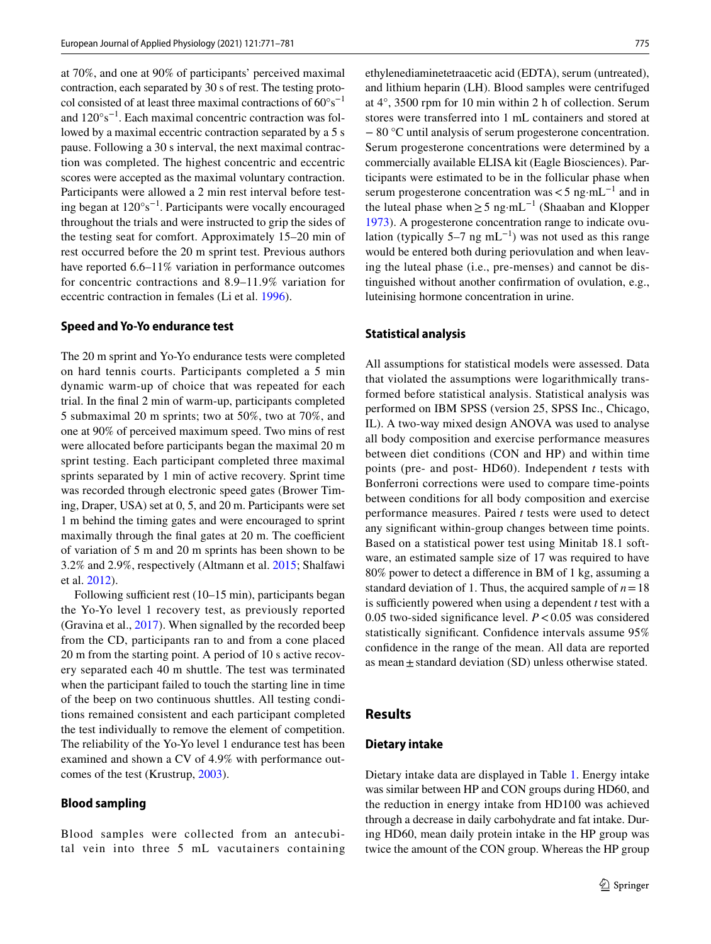at 70%, and one at 90% of participants' perceived maximal contraction, each separated by 30 s of rest. The testing protocol consisted of at least three maximal contractions of 60°s−1 and 120°s−1. Each maximal concentric contraction was followed by a maximal eccentric contraction separated by a 5 s pause. Following a 30 s interval, the next maximal contraction was completed. The highest concentric and eccentric scores were accepted as the maximal voluntary contraction. Participants were allowed a 2 min rest interval before testing began at 120°s−1. Participants were vocally encouraged throughout the trials and were instructed to grip the sides of the testing seat for comfort. Approximately 15–20 min of rest occurred before the 20 m sprint test. Previous authors have reported 6.6–11% variation in performance outcomes for concentric contractions and 8.9–11.9% variation for eccentric contraction in females (Li et al. [1996\)](#page-9-17).

## **Speed and Yo‑Yo endurance test**

The 20 m sprint and Yo-Yo endurance tests were completed on hard tennis courts. Participants completed a 5 min dynamic warm-up of choice that was repeated for each trial. In the fnal 2 min of warm-up, participants completed 5 submaximal 20 m sprints; two at 50%, two at 70%, and one at 90% of perceived maximum speed. Two mins of rest were allocated before participants began the maximal 20 m sprint testing. Each participant completed three maximal sprints separated by 1 min of active recovery. Sprint time was recorded through electronic speed gates (Brower Timing, Draper, USA) set at 0, 5, and 20 m. Participants were set 1 m behind the timing gates and were encouraged to sprint maximally through the final gates at 20 m. The coefficient of variation of 5 m and 20 m sprints has been shown to be 3.2% and 2.9%, respectively (Altmann et al. [2015;](#page-9-18) Shalfawi et al. [2012](#page-10-15)).

Following sufficient rest  $(10-15 \text{ min})$ , participants began the Yo-Yo level 1 recovery test, as previously reported (Gravina et al., [2017\)](#page-9-19). When signalled by the recorded beep from the CD, participants ran to and from a cone placed 20 m from the starting point. A period of 10 s active recovery separated each 40 m shuttle. The test was terminated when the participant failed to touch the starting line in time of the beep on two continuous shuttles. All testing conditions remained consistent and each participant completed the test individually to remove the element of competition. The reliability of the Yo-Yo level 1 endurance test has been examined and shown a CV of 4.9% with performance outcomes of the test (Krustrup, [2003](#page-9-20)).

#### **Blood sampling**

Blood samples were collected from an antecubital vein into three 5 mL vacutainers containing ethylenediaminetetraacetic acid (EDTA), serum (untreated), and lithium heparin (LH). Blood samples were centrifuged at 4°, 3500 rpm for 10 min within 2 h of collection. Serum stores were transferred into 1 mL containers and stored at − 80 °C until analysis of serum progesterone concentration. Serum progesterone concentrations were determined by a commercially available ELISA kit (Eagle Biosciences). Participants were estimated to be in the follicular phase when serum progesterone concentration was  $<$  5 ng·mL<sup>-1</sup> and in the luteal phase when  $\geq$  5 ng·mL<sup>-1</sup> (Shaaban and Klopper [1973](#page-10-16)). A progesterone concentration range to indicate ovulation (typically 5–7 ng mL<sup>-1</sup>) was not used as this range would be entered both during periovulation and when leaving the luteal phase (i.e., pre-menses) and cannot be distinguished without another confrmation of ovulation, e.g., luteinising hormone concentration in urine.

## **Statistical analysis**

All assumptions for statistical models were assessed. Data that violated the assumptions were logarithmically transformed before statistical analysis. Statistical analysis was performed on IBM SPSS (version 25, SPSS Inc., Chicago, IL). A two-way mixed design ANOVA was used to analyse all body composition and exercise performance measures between diet conditions (CON and HP) and within time points (pre- and post- HD60). Independent *t* tests with Bonferroni corrections were used to compare time-points between conditions for all body composition and exercise performance measures. Paired *t* tests were used to detect any signifcant within-group changes between time points. Based on a statistical power test using Minitab 18.1 software, an estimated sample size of 17 was required to have 80% power to detect a diference in BM of 1 kg, assuming a standard deviation of 1. Thus, the acquired sample of  $n = 18$ is sufficiently powered when using a dependent  $t$  test with a 0.05 two-sided significance level.  $P < 0.05$  was considered statistically significant. Confidence intervals assume  $95\%$ confdence in the range of the mean. All data are reported as mean  $\pm$  standard deviation (SD) unless otherwise stated.

#### **Results**

#### **Dietary intake**

Dietary intake data are displayed in Table [1.](#page-3-0) Energy intake was similar between HP and CON groups during HD60, and the reduction in energy intake from HD100 was achieved through a decrease in daily carbohydrate and fat intake. During HD60, mean daily protein intake in the HP group was twice the amount of the CON group. Whereas the HP group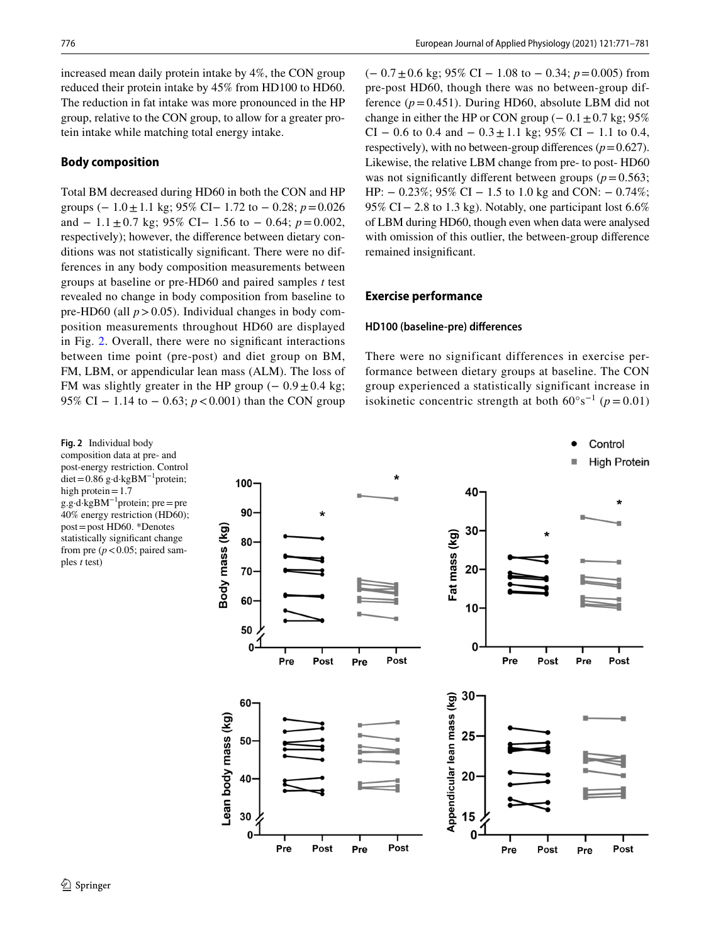increased mean daily protein intake by 4%, the CON group reduced their protein intake by 45% from HD100 to HD60. The reduction in fat intake was more pronounced in the HP group, relative to the CON group, to allow for a greater protein intake while matching total energy intake.

# **Body composition**

Total BM decreased during HD60 in both the CON and HP groups (− 1.0±1.1 kg; 95% CI− 1.72 to − 0.28; *p*=0.026 and − 1.1±0.7 kg; 95% CI− 1.56 to − 0.64; *p*=0.002, respectively); however, the diference between dietary conditions was not statistically signifcant. There were no differences in any body composition measurements between groups at baseline or pre-HD60 and paired samples *t* test revealed no change in body composition from baseline to pre-HD60 (all  $p > 0.05$ ). Individual changes in body composition measurements throughout HD60 are displayed in Fig. [2.](#page-5-0) Overall, there were no signifcant interactions between time point (pre-post) and diet group on BM, FM, LBM, or appendicular lean mass (ALM). The loss of FM was slightly greater in the HP group  $(-0.9 \pm 0.4 \text{ kg})$ ; 95% CI − 1.14 to − 0.63; *p* < 0.001) than the CON group

<span id="page-5-0"></span>**Fig. 2** Individual body composition data at pre- and post-energy restriction. Control diet=0.86 g·d·kgBM−1protein; high protein $=1.7$ g.g·d·kgBM−1protein; pre=pre 40% energy restriction (HD60); post=post HD60. \*Denotes statistically signifcant change from pre  $(p < 0.05$ ; paired samples *t* test)

(− 0.7±0.6 kg; 95% CI − 1.08 to − 0.34; *p*=0.005) from pre-post HD60, though there was no between-group difference  $(p=0.451)$ . During HD60, absolute LBM did not change in either the HP or CON group ( $-0.1 \pm 0.7$  kg; 95% CI – 0.6 to 0.4 and –  $0.3 \pm 1.1$  kg; 95% CI – 1.1 to 0.4, respectively), with no between-group differences  $(p=0.627)$ . Likewise, the relative LBM change from pre- to post- HD60 was not significantly different between groups ( $p=0.563$ ; HP:  $- 0.23\%$ ; 95% CI  $- 1.5$  to 1.0 kg and CON:  $- 0.74\%$ ; 95% CI – 2.8 to 1.3 kg). Notably, one participant lost 6.6% of LBM during HD60, though even when data were analysed with omission of this outlier, the between-group diference remained insignifcant.

## **Exercise performance**

## **HD100 (baseline‑pre) diferences**

There were no significant differences in exercise performance between dietary groups at baseline. The CON group experienced a statistically significant increase in isokinetic concentric strength at both  $60^{\circ} s^{-1}$  ( $p = 0.01$ )

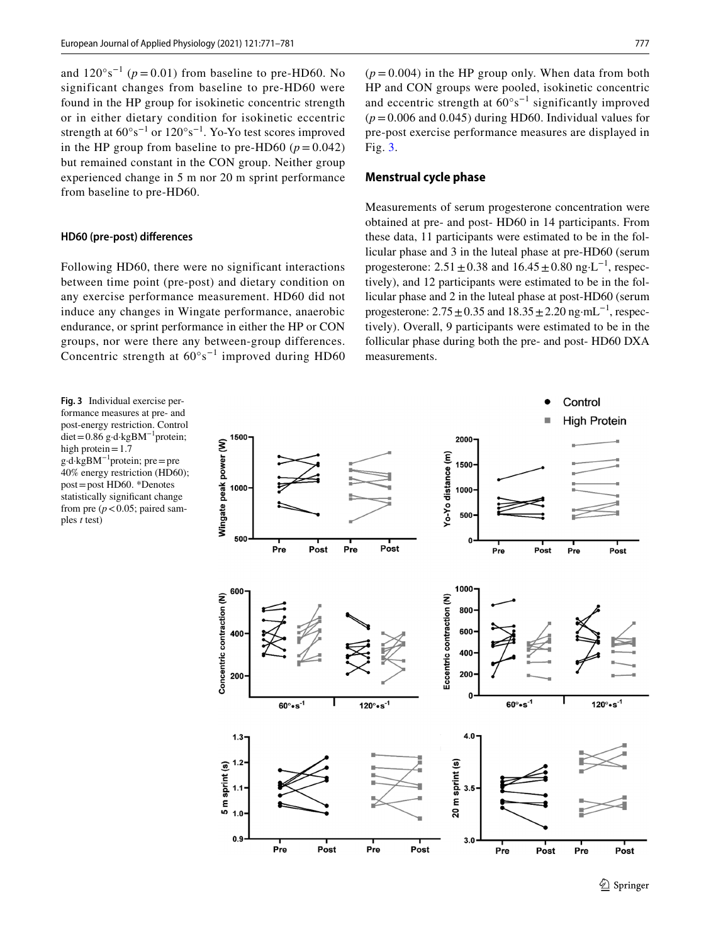and  $120^{\circ}$ s<sup>-1</sup> ( $p = 0.01$ ) from baseline to pre-HD60. No significant changes from baseline to pre-HD60 were found in the HP group for isokinetic concentric strength or in either dietary condition for isokinetic eccentric strength at  $60^{\circ} s^{-1}$  or  $120^{\circ} s^{-1}$ . Yo-Yo test scores improved in the HP group from baseline to pre-HD60 ( $p = 0.042$ ) but remained constant in the CON group. Neither group experienced change in 5 m nor 20 m sprint performance from baseline to pre-HD60.

#### **HD60 (pre‑post) diferences**

Following HD60, there were no significant interactions between time point (pre-post) and dietary condition on any exercise performance measurement. HD60 did not induce any changes in Wingate performance, anaerobic endurance, or sprint performance in either the HP or CON groups, nor were there any between-group differences. Concentric strength at  $60^{\circ} s^{-1}$  improved during HD60

<span id="page-6-0"></span>**Fig. 3** Individual exercise performance measures at pre- and post-energy restriction. Control diet=0.86 g·d·kgBM−1protein; high protein=1.7 g·d·kgBM−1protein; pre=pre 40% energy restriction (HD60); post=post HD60. \*Denotes statistically signifcant change from pre  $(p < 0.05$ ; paired samples *t* test)

 $(p=0.004)$  in the HP group only. When data from both HP and CON groups were pooled, isokinetic concentric and eccentric strength at 60°s−1 significantly improved  $(p=0.006$  and 0.045) during HD60. Individual values for pre-post exercise performance measures are displayed in Fig. [3.](#page-6-0)

# **Menstrual cycle phase**

Measurements of serum progesterone concentration were obtained at pre- and post- HD60 in 14 participants. From these data, 11 participants were estimated to be in the follicular phase and 3 in the luteal phase at pre-HD60 (serum progesterone:  $2.51 \pm 0.38$  and  $16.45 \pm 0.80$  ng·L<sup>-1</sup>, respectively), and 12 participants were estimated to be in the follicular phase and 2 in the luteal phase at post-HD60 (serum progesterone:  $2.75 \pm 0.35$  and  $18.35 \pm 2.20$  ng·mL<sup>-1</sup>, respectively). Overall, 9 participants were estimated to be in the follicular phase during both the pre- and post- HD60 DXA measurements.

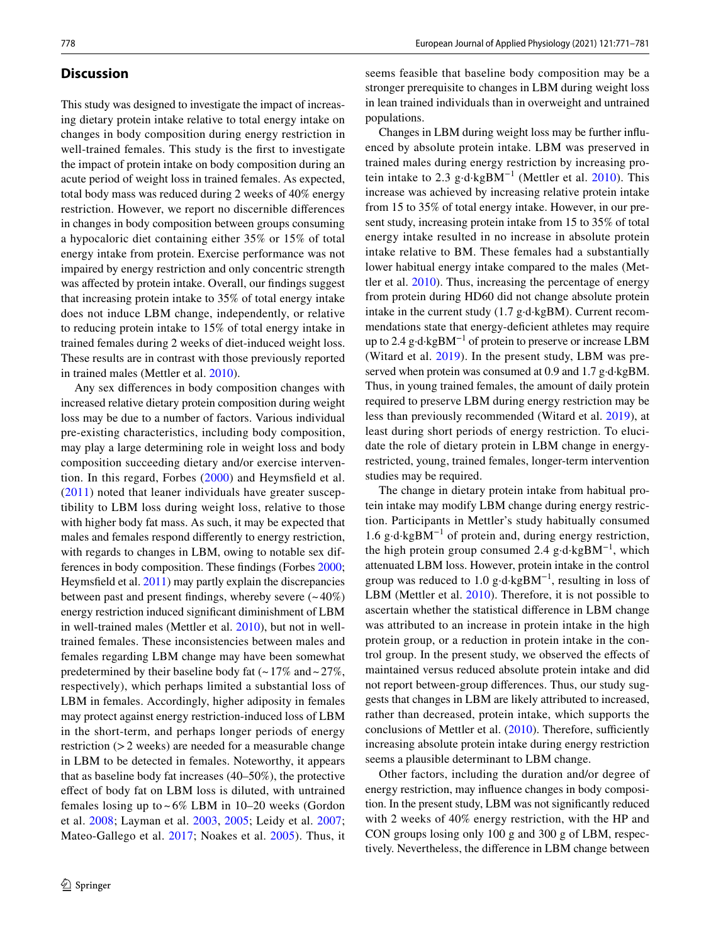# **Discussion**

This study was designed to investigate the impact of increasing dietary protein intake relative to total energy intake on changes in body composition during energy restriction in well-trained females. This study is the frst to investigate the impact of protein intake on body composition during an acute period of weight loss in trained females. As expected, total body mass was reduced during 2 weeks of 40% energy restriction. However, we report no discernible diferences in changes in body composition between groups consuming a hypocaloric diet containing either 35% or 15% of total energy intake from protein. Exercise performance was not impaired by energy restriction and only concentric strength was afected by protein intake. Overall, our fndings suggest that increasing protein intake to 35% of total energy intake does not induce LBM change, independently, or relative to reducing protein intake to 15% of total energy intake in trained females during 2 weeks of diet-induced weight loss. These results are in contrast with those previously reported in trained males (Mettler et al. [2010\)](#page-10-8).

Any sex diferences in body composition changes with increased relative dietary protein composition during weight loss may be due to a number of factors. Various individual pre-existing characteristics, including body composition, may play a large determining role in weight loss and body composition succeeding dietary and/or exercise intervention. In this regard, Forbes [\(2000](#page-9-21)) and Heymsfeld et al. ([2011](#page-9-22)) noted that leaner individuals have greater susceptibility to LBM loss during weight loss, relative to those with higher body fat mass. As such, it may be expected that males and females respond diferently to energy restriction, with regards to changes in LBM, owing to notable sex differences in body composition. These fndings (Forbes [2000](#page-9-21); Heymsfeld et al. [2011\)](#page-9-22) may partly explain the discrepancies between past and present findings, whereby severe  $(-40\%)$ energy restriction induced signifcant diminishment of LBM in well-trained males (Mettler et al. [2010](#page-10-8)), but not in welltrained females. These inconsistencies between males and females regarding LBM change may have been somewhat predetermined by their baseline body fat  $(-17\% \text{ and } -27\%$ , respectively), which perhaps limited a substantial loss of LBM in females. Accordingly, higher adiposity in females may protect against energy restriction-induced loss of LBM in the short-term, and perhaps longer periods of energy restriction (>2 weeks) are needed for a measurable change in LBM to be detected in females. Noteworthy, it appears that as baseline body fat increases (40–50%), the protective efect of body fat on LBM loss is diluted, with untrained females losing up to  $\sim 6\%$  LBM in 10–20 weeks (Gordon et al. [2008](#page-9-8); Layman et al. [2003](#page-9-23), [2005;](#page-9-9) Leidy et al. [2007](#page-9-10); Mateo-Gallego et al. [2017](#page-10-17); Noakes et al. [2005](#page-10-18)). Thus, it

seems feasible that baseline body composition may be a stronger prerequisite to changes in LBM during weight loss in lean trained individuals than in overweight and untrained populations.

Changes in LBM during weight loss may be further infuenced by absolute protein intake. LBM was preserved in trained males during energy restriction by increasing pro-tein intake to 2.3 g⋅d⋅kgBM<sup>-1</sup> (Mettler et al. [2010\)](#page-10-8). This increase was achieved by increasing relative protein intake from 15 to 35% of total energy intake. However, in our present study, increasing protein intake from 15 to 35% of total energy intake resulted in no increase in absolute protein intake relative to BM. These females had a substantially lower habitual energy intake compared to the males (Mettler et al. [2010](#page-10-8)). Thus, increasing the percentage of energy from protein during HD60 did not change absolute protein intake in the current study (1.7 g·d·kgBM). Current recommendations state that energy-deficient athletes may require up to 2.4 g·d·kgBM−1 of protein to preserve or increase LBM (Witard et al. [2019\)](#page-10-19). In the present study, LBM was preserved when protein was consumed at 0.9 and 1.7 g·d·kgBM. Thus, in young trained females, the amount of daily protein required to preserve LBM during energy restriction may be less than previously recommended (Witard et al. [2019](#page-10-19)), at least during short periods of energy restriction. To elucidate the role of dietary protein in LBM change in energyrestricted, young, trained females, longer-term intervention studies may be required.

The change in dietary protein intake from habitual protein intake may modify LBM change during energy restriction. Participants in Mettler's study habitually consumed 1.6 g·d·kgBM−1 of protein and, during energy restriction, the high protein group consumed 2.4 g·d·kgBM−1, which attenuated LBM loss. However, protein intake in the control group was reduced to 1.0 g⋅d⋅kgBM<sup>-1</sup>, resulting in loss of LBM (Mettler et al. [2010\)](#page-10-8). Therefore, it is not possible to ascertain whether the statistical diference in LBM change was attributed to an increase in protein intake in the high protein group, or a reduction in protein intake in the control group. In the present study, we observed the efects of maintained versus reduced absolute protein intake and did not report between-group diferences. Thus, our study suggests that changes in LBM are likely attributed to increased, rather than decreased, protein intake, which supports the conclusions of Mettler et al.  $(2010)$  $(2010)$  $(2010)$ . Therefore, sufficiently increasing absolute protein intake during energy restriction seems a plausible determinant to LBM change.

Other factors, including the duration and/or degree of energy restriction, may infuence changes in body composition. In the present study, LBM was not signifcantly reduced with 2 weeks of 40% energy restriction, with the HP and CON groups losing only 100 g and 300 g of LBM, respectively. Nevertheless, the diference in LBM change between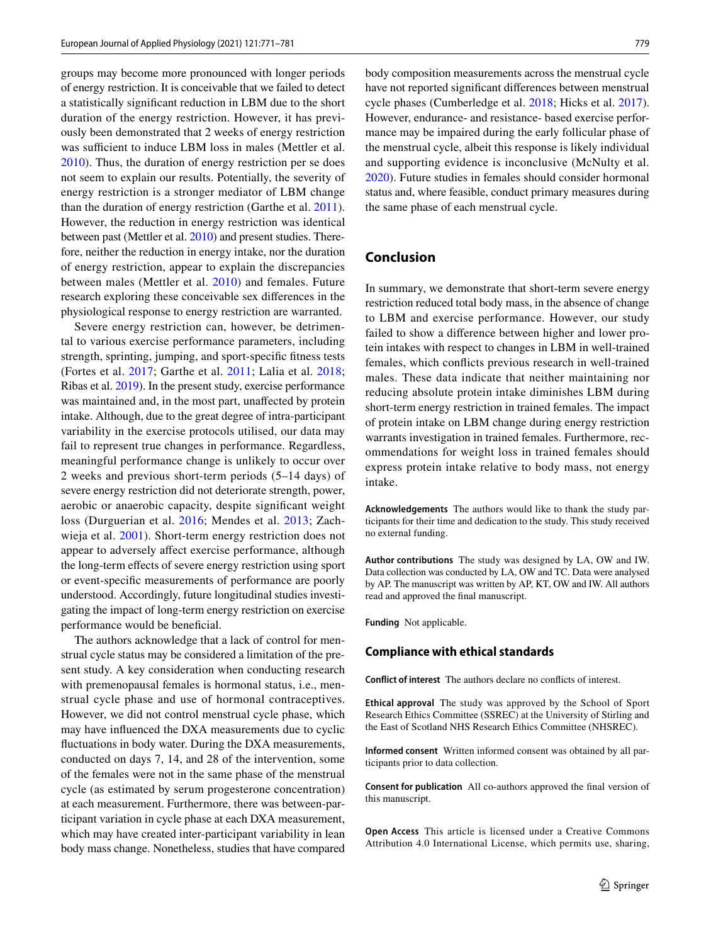groups may become more pronounced with longer periods of energy restriction. It is conceivable that we failed to detect a statistically signifcant reduction in LBM due to the short duration of the energy restriction. However, it has previously been demonstrated that 2 weeks of energy restriction was sufficient to induce LBM loss in males (Mettler et al. [2010](#page-10-8)). Thus, the duration of energy restriction per se does not seem to explain our results. Potentially, the severity of energy restriction is a stronger mediator of LBM change than the duration of energy restriction (Garthe et al. [2011](#page-9-24)). However, the reduction in energy restriction was identical between past (Mettler et al. [2010\)](#page-10-8) and present studies. Therefore, neither the reduction in energy intake, nor the duration of energy restriction, appear to explain the discrepancies between males (Mettler et al. [2010\)](#page-10-8) and females. Future research exploring these conceivable sex diferences in the physiological response to energy restriction are warranted.

Severe energy restriction can, however, be detrimental to various exercise performance parameters, including strength, sprinting, jumping, and sport-specifc ftness tests (Fortes et al. [2017;](#page-9-25) Garthe et al. [2011](#page-9-24); Lalia et al. [2018](#page-9-4); Ribas et al. [2019](#page-10-20)). In the present study, exercise performance was maintained and, in the most part, unafected by protein intake. Although, due to the great degree of intra-participant variability in the exercise protocols utilised, our data may fail to represent true changes in performance. Regardless, meaningful performance change is unlikely to occur over 2 weeks and previous short-term periods (5–14 days) of severe energy restriction did not deteriorate strength, power, aerobic or anaerobic capacity, despite signifcant weight loss (Durguerian et al. [2016;](#page-9-26) Mendes et al. [2013;](#page-10-21) Zachwieja et al. [2001\)](#page-10-22). Short-term energy restriction does not appear to adversely afect exercise performance, although the long-term efects of severe energy restriction using sport or event-specifc measurements of performance are poorly understood. Accordingly, future longitudinal studies investigating the impact of long-term energy restriction on exercise performance would be beneficial.

The authors acknowledge that a lack of control for menstrual cycle status may be considered a limitation of the present study. A key consideration when conducting research with premenopausal females is hormonal status, i.e., menstrual cycle phase and use of hormonal contraceptives. However, we did not control menstrual cycle phase, which may have infuenced the DXA measurements due to cyclic fuctuations in body water. During the DXA measurements, conducted on days 7, 14, and 28 of the intervention, some of the females were not in the same phase of the menstrual cycle (as estimated by serum progesterone concentration) at each measurement. Furthermore, there was between-participant variation in cycle phase at each DXA measurement, which may have created inter-participant variability in lean body mass change. Nonetheless, studies that have compared body composition measurements across the menstrual cycle have not reported signifcant diferences between menstrual cycle phases (Cumberledge et al. [2018](#page-9-27); Hicks et al. [2017](#page-9-28)). However, endurance- and resistance- based exercise performance may be impaired during the early follicular phase of the menstrual cycle, albeit this response is likely individual and supporting evidence is inconclusive (McNulty et al. [2020](#page-10-23)). Future studies in females should consider hormonal status and, where feasible, conduct primary measures during the same phase of each menstrual cycle.

# **Conclusion**

In summary, we demonstrate that short-term severe energy restriction reduced total body mass, in the absence of change to LBM and exercise performance. However, our study failed to show a diference between higher and lower protein intakes with respect to changes in LBM in well-trained females, which conficts previous research in well-trained males. These data indicate that neither maintaining nor reducing absolute protein intake diminishes LBM during short-term energy restriction in trained females. The impact of protein intake on LBM change during energy restriction warrants investigation in trained females. Furthermore, recommendations for weight loss in trained females should express protein intake relative to body mass, not energy intake.

**Acknowledgements** The authors would like to thank the study participants for their time and dedication to the study. This study received no external funding.

**Author contributions** The study was designed by LA, OW and IW. Data collection was conducted by LA, OW and TC. Data were analysed by AP. The manuscript was written by AP, KT, OW and IW. All authors read and approved the fnal manuscript.

**Funding** Not applicable.

#### **Compliance with ethical standards**

**Conflict of interest** The authors declare no conficts of interest.

**Ethical approval** The study was approved by the School of Sport Research Ethics Committee (SSREC) at the University of Stirling and the East of Scotland NHS Research Ethics Committee (NHSREC).

**Informed consent** Written informed consent was obtained by all participants prior to data collection.

**Consent for publication** All co-authors approved the fnal version of this manuscript.

**Open Access** This article is licensed under a Creative Commons Attribution 4.0 International License, which permits use, sharing,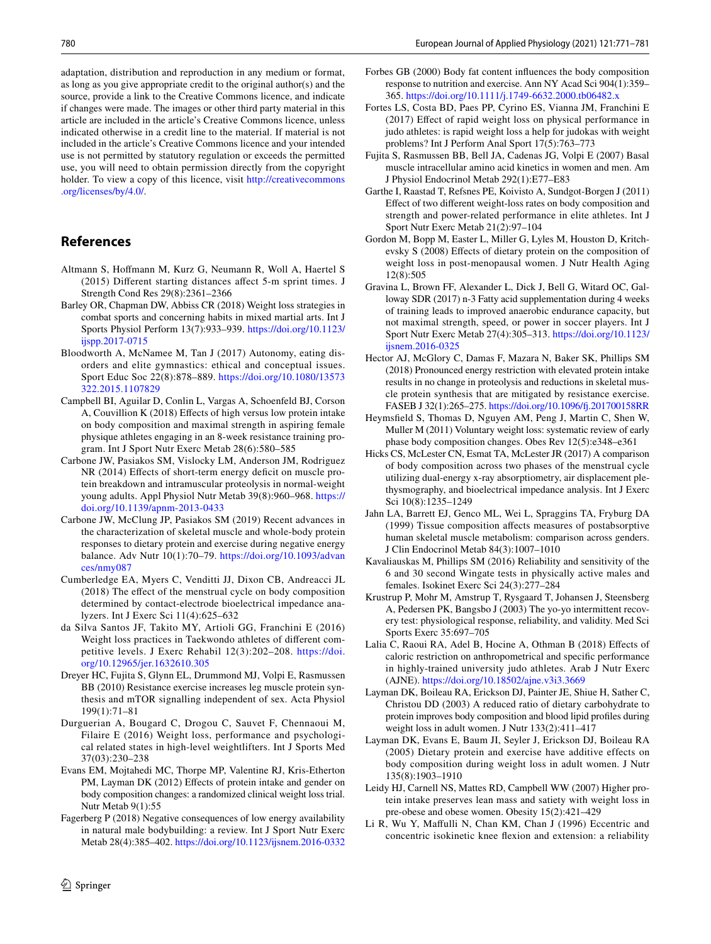adaptation, distribution and reproduction in any medium or format, as long as you give appropriate credit to the original author(s) and the source, provide a link to the Creative Commons licence, and indicate if changes were made. The images or other third party material in this article are included in the article's Creative Commons licence, unless indicated otherwise in a credit line to the material. If material is not included in the article's Creative Commons licence and your intended use is not permitted by statutory regulation or exceeds the permitted use, you will need to obtain permission directly from the copyright holder. To view a copy of this licence, visit [http://creativecommons](http://creativecommons.org/licenses/by/4.0/) [.org/licenses/by/4.0/.](http://creativecommons.org/licenses/by/4.0/)

# **References**

- <span id="page-9-18"></span>Altmann S, Hofmann M, Kurz G, Neumann R, Woll A, Haertel S (2015) Diferent starting distances afect 5-m sprint times. J Strength Cond Res 29(8):2361–2366
- <span id="page-9-0"></span>Barley OR, Chapman DW, Abbiss CR (2018) Weight loss strategies in combat sports and concerning habits in mixed martial arts. Int J Sports Physiol Perform 13(7):933–939. [https://doi.org/10.1123/](https://doi.org/10.1123/ijspp.2017-0715) [ijspp.2017-0715](https://doi.org/10.1123/ijspp.2017-0715)
- <span id="page-9-2"></span>Bloodworth A, McNamee M, Tan J (2017) Autonomy, eating disorders and elite gymnastics: ethical and conceptual issues. Sport Educ Soc 22(8):878–889. [https://doi.org/10.1080/13573](https://doi.org/10.1080/13573322.2015.1107829) [322.2015.1107829](https://doi.org/10.1080/13573322.2015.1107829)
- <span id="page-9-11"></span>Campbell BI, Aguilar D, Conlin L, Vargas A, Schoenfeld BJ, Corson A, Couvillion K (2018) Efects of high versus low protein intake on body composition and maximal strength in aspiring female physique athletes engaging in an 8-week resistance training program. Int J Sport Nutr Exerc Metab 28(6):580–585
- <span id="page-9-6"></span>Carbone JW, Pasiakos SM, Vislocky LM, Anderson JM, Rodriguez NR (2014) Effects of short-term energy deficit on muscle protein breakdown and intramuscular proteolysis in normal-weight young adults. Appl Physiol Nutr Metab 39(8):960–968. [https://](https://doi.org/10.1139/apnm-2013-0433) [doi.org/10.1139/apnm-2013-0433](https://doi.org/10.1139/apnm-2013-0433)
- <span id="page-9-5"></span>Carbone JW, McClung JP, Pasiakos SM (2019) Recent advances in the characterization of skeletal muscle and whole-body protein responses to dietary protein and exercise during negative energy balance. Adv Nutr 10(1):70–79. [https://doi.org/10.1093/advan](https://doi.org/10.1093/advances/nmy087) [ces/nmy087](https://doi.org/10.1093/advances/nmy087)
- <span id="page-9-27"></span>Cumberledge EA, Myers C, Venditti JJ, Dixon CB, Andreacci JL (2018) The efect of the menstrual cycle on body composition determined by contact-electrode bioelectrical impedance analyzers. Int J Exerc Sci 11(4):625–632
- <span id="page-9-1"></span>da Silva Santos JF, Takito MY, Artioli GG, Franchini E (2016) Weight loss practices in Taekwondo athletes of diferent competitive levels. J Exerc Rehabil 12(3):202–208. [https://doi.](https://doi.org/10.12965/jer.1632610.305) [org/10.12965/jer.1632610.305](https://doi.org/10.12965/jer.1632610.305)
- <span id="page-9-13"></span>Dreyer HC, Fujita S, Glynn EL, Drummond MJ, Volpi E, Rasmussen BB (2010) Resistance exercise increases leg muscle protein synthesis and mTOR signalling independent of sex. Acta Physiol 199(1):71–81
- <span id="page-9-26"></span>Durguerian A, Bougard C, Drogou C, Sauvet F, Chennaoui M, Filaire E (2016) Weight loss, performance and psychological related states in high-level weightlifters. Int J Sports Med 37(03):230–238
- <span id="page-9-15"></span>Evans EM, Mojtahedi MC, Thorpe MP, Valentine RJ, Kris-Etherton PM, Layman DK (2012) Effects of protein intake and gender on body composition changes: a randomized clinical weight loss trial. Nutr Metab 9(1):55
- <span id="page-9-3"></span>Fagerberg P (2018) Negative consequences of low energy availability in natural male bodybuilding: a review. Int J Sport Nutr Exerc Metab 28(4):385–402. <https://doi.org/10.1123/ijsnem.2016-0332>
- <span id="page-9-21"></span>Forbes GB (2000) Body fat content infuences the body composition response to nutrition and exercise. Ann NY Acad Sci 904(1):359– 365.<https://doi.org/10.1111/j.1749-6632.2000.tb06482.x>
- <span id="page-9-25"></span>Fortes LS, Costa BD, Paes PP, Cyrino ES, Vianna JM, Franchini E (2017) Efect of rapid weight loss on physical performance in judo athletes: is rapid weight loss a help for judokas with weight problems? Int J Perform Anal Sport 17(5):763–773
- <span id="page-9-14"></span>Fujita S, Rasmussen BB, Bell JA, Cadenas JG, Volpi E (2007) Basal muscle intracellular amino acid kinetics in women and men. Am J Physiol Endocrinol Metab 292(1):E77–E83
- <span id="page-9-24"></span>Garthe I, Raastad T, Refsnes PE, Koivisto A, Sundgot-Borgen J (2011) Efect of two diferent weight-loss rates on body composition and strength and power-related performance in elite athletes. Int J Sport Nutr Exerc Metab 21(2):97–104
- <span id="page-9-8"></span>Gordon M, Bopp M, Easter L, Miller G, Lyles M, Houston D, Kritchevsky S (2008) Efects of dietary protein on the composition of weight loss in post-menopausal women. J Nutr Health Aging 12(8):505
- <span id="page-9-19"></span>Gravina L, Brown FF, Alexander L, Dick J, Bell G, Witard OC, Galloway SDR (2017) n-3 Fatty acid supplementation during 4 weeks of training leads to improved anaerobic endurance capacity, but not maximal strength, speed, or power in soccer players. Int J Sport Nutr Exerc Metab 27(4):305–313. [https://doi.org/10.1123/](https://doi.org/10.1123/ijsnem.2016-0325) [ijsnem.2016-0325](https://doi.org/10.1123/ijsnem.2016-0325)
- <span id="page-9-7"></span>Hector AJ, McGlory C, Damas F, Mazara N, Baker SK, Phillips SM (2018) Pronounced energy restriction with elevated protein intake results in no change in proteolysis and reductions in skeletal muscle protein synthesis that are mitigated by resistance exercise. FASEB J 32(1):265–275. [https://doi.org/10.1096/f.201700158RR](https://doi.org/10.1096/fj.201700158RR)
- <span id="page-9-22"></span>Heymsfeld S, Thomas D, Nguyen AM, Peng J, Martin C, Shen W, Muller M (2011) Voluntary weight loss: systematic review of early phase body composition changes. Obes Rev 12(5):e348–e361
- <span id="page-9-28"></span>Hicks CS, McLester CN, Esmat TA, McLester JR (2017) A comparison of body composition across two phases of the menstrual cycle utilizing dual-energy x-ray absorptiometry, air displacement plethysmography, and bioelectrical impedance analysis. Int J Exerc Sci 10(8):1235–1249
- <span id="page-9-12"></span>Jahn LA, Barrett EJ, Genco ML, Wei L, Spraggins TA, Fryburg DA (1999) Tissue composition afects measures of postabsorptive human skeletal muscle metabolism: comparison across genders. J Clin Endocrinol Metab 84(3):1007–1010
- <span id="page-9-16"></span>Kavaliauskas M, Phillips SM (2016) Reliability and sensitivity of the 6 and 30 second Wingate tests in physically active males and females. Isokinet Exerc Sci 24(3):277–284
- <span id="page-9-20"></span>Krustrup P, Mohr M, Amstrup T, Rysgaard T, Johansen J, Steensberg A, Pedersen PK, Bangsbo J (2003) The yo-yo intermittent recovery test: physiological response, reliability, and validity. Med Sci Sports Exerc 35:697–705
- <span id="page-9-4"></span>Lalia C, Raoui RA, Adel B, Hocine A, Othman B (2018) Efects of caloric restriction on anthropometrical and specifc performance in highly-trained university judo athletes. Arab J Nutr Exerc (AJNE).<https://doi.org/10.18502/ajne.v3i3.3669>
- <span id="page-9-23"></span>Layman DK, Boileau RA, Erickson DJ, Painter JE, Shiue H, Sather C, Christou DD (2003) A reduced ratio of dietary carbohydrate to protein improves body composition and blood lipid profles during weight loss in adult women. J Nutr 133(2):411–417
- <span id="page-9-9"></span>Layman DK, Evans E, Baum JI, Seyler J, Erickson DJ, Boileau RA (2005) Dietary protein and exercise have additive effects on body composition during weight loss in adult women. J Nutr 135(8):1903–1910
- <span id="page-9-10"></span>Leidy HJ, Carnell NS, Mattes RD, Campbell WW (2007) Higher protein intake preserves lean mass and satiety with weight loss in pre-obese and obese women. Obesity 15(2):421–429
- <span id="page-9-17"></span>Li R, Wu Y, Mafulli N, Chan KM, Chan J (1996) Eccentric and concentric isokinetic knee fexion and extension: a reliability